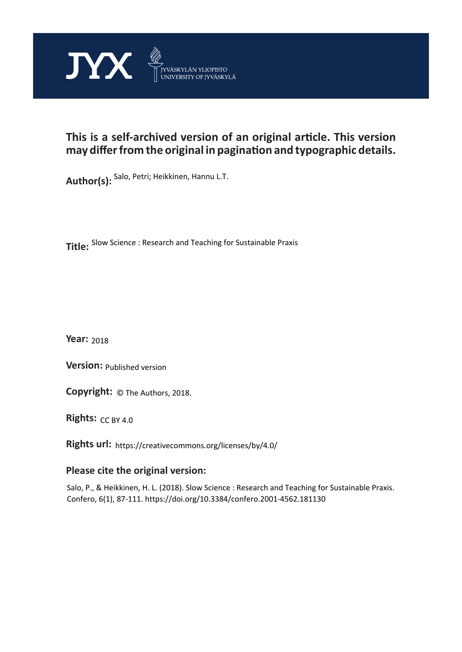

# **This is a self-archived version of an original article. This version may differ from the original in pagination and typographic details.**

**Author(s):**  Salo, Petri; Heikkinen, Hannu L.T.

**Title:**  Slow Science : Research and Teaching for Sustainable Praxis

**Year:**  2018

**Version:**

**Version:** Published version<br>**Copyright:** © The Authors, 2018.

**Rights:** CC BY 4.0

**Rights url:**  https://creativecommons.org/licenses/by/4.0/

# **Please cite the original version:**

Salo, P., & Heikkinen, H. L. (2018). Slow Science : Research and Teaching for Sustainable Praxis. Confero, 6(1), 87-111. https://doi.org/10.3384/confero.2001-4562.181130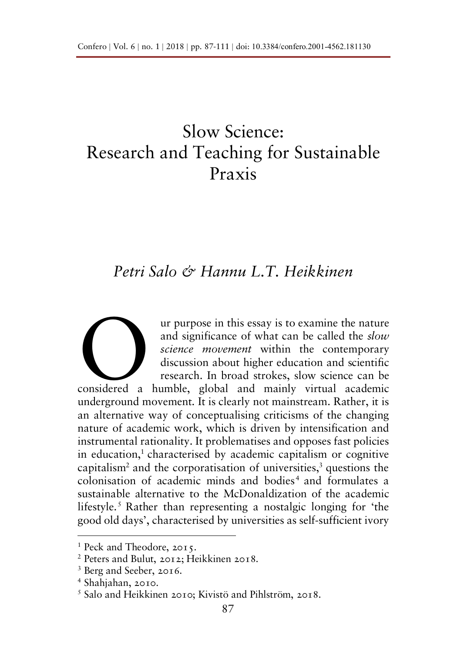# Slow Science: Research and Teaching for Sustainable Praxis

# *Petri Salo & Hannu L.T. Heikkinen*

ur purpose in this essay is to examine the nature and significance of what can be called the *slow science movement* within the contemporary discussion about higher education and scientific research. In broad strokes, slow science can be are purpose in this essay is to examine the nature<br>and significance of what can be called the *slow*<br>science movement within the contemporary<br>discussion about higher education and scientific<br>research. In broad strokes, slo underground movement. It is clearly not mainstream. Rather, it is an alternative way of conceptualising criticisms of the changing nature of academic work, which is driven by intensification and instrumental rationality. It problematises and opposes fast policies in education,<sup>1</sup> characterised by academic capitalism or cognitive capitalism<sup>2</sup> and the corporatisation of universities,<sup>3</sup> questions the colonisation of academic minds and bodies<sup>4</sup> and formulates a sustainable alternative to the McDonaldization of the academic lifestyle.<sup>5</sup> Rather than representing a nostalgic longing for 'the good old days', characterised by universities as self-sufficient ivory

 <sup>1</sup> Peck and Theodore, 2015.

<sup>2</sup> Peters and Bulut, 2012; Heikkinen 2018.

<sup>3</sup> Berg and Seeber, 2016.

<sup>4</sup> Shahjahan, 2010.

<sup>5</sup> Salo and Heikkinen 2010; Kivistö and Pihlström, 2018.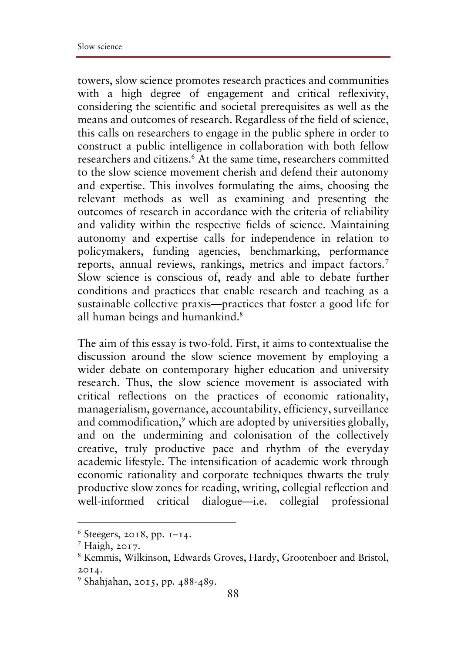towers, slow science promotes research practices and communities with a high degree of engagement and critical reflexivity, considering the scientific and societal prerequisites as well as the means and outcomes of research. Regardless of the field of science, this calls on researchers to engage in the public sphere in order to construct a public intelligence in collaboration with both fellow researchers and citizens.6 At the same time, researchers committed to the slow science movement cherish and defend their autonomy and expertise. This involves formulating the aims, choosing the relevant methods as well as examining and presenting the outcomes of research in accordance with the criteria of reliability and validity within the respective fields of science. Maintaining autonomy and expertise calls for independence in relation to policymakers, funding agencies, benchmarking, performance reports, annual reviews, rankings, metrics and impact factors.<sup>7</sup> Slow science is conscious of, ready and able to debate further conditions and practices that enable research and teaching as a sustainable collective praxis—practices that foster a good life for all human beings and humankind.<sup>8</sup>

The aim of this essay is two-fold. First, it aims to contextualise the discussion around the slow science movement by employing a wider debate on contemporary higher education and university research. Thus, the slow science movement is associated with critical reflections on the practices of economic rationality, managerialism, governance, accountability, efficiency, surveillance and commodification,<sup>9</sup> which are adopted by universities globally, and on the undermining and colonisation of the collectively creative, truly productive pace and rhythm of the everyday academic lifestyle. The intensification of academic work through economic rationality and corporate techniques thwarts the truly productive slow zones for reading, writing, collegial reflection and well-informed critical dialogue—i.e. collegial professional

 $6$  Steegers, 2018, pp.  $I-I4$ .

 $<sup>7</sup>$  Haigh, 2017.</sup>

<sup>8</sup> Kemmis, Wilkinson, Edwards Groves, Hardy, Grootenboer and Bristol, 2014.

<sup>9</sup> Shahjahan, 2015, pp. 488-489.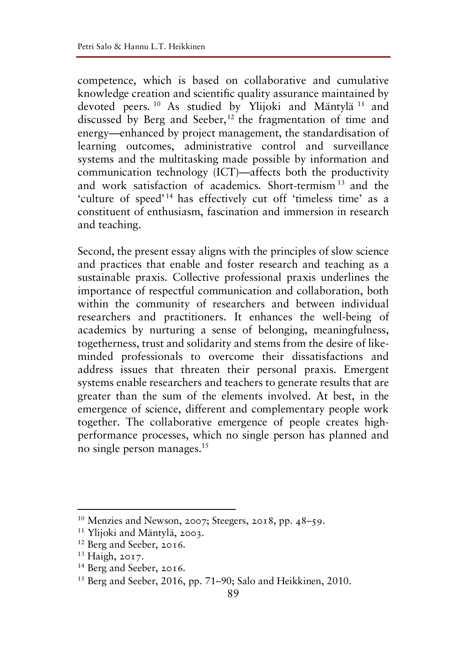competence, which is based on collaborative and cumulative knowledge creation and scientific quality assurance maintained by devoted peers. <sup>10</sup> As studied by Ylijoki and Mäntylä <sup>11</sup> and discussed by Berg and Seeber,<sup>12</sup> the fragmentation of time and energy—enhanced by project management, the standardisation of learning outcomes, administrative control and surveillance systems and the multitasking made possible by information and communication technology (ICT)—affects both the productivity and work satisfaction of academics. Short-termism <sup>13</sup> and the 'culture of speed'<sup>14</sup> has effectively cut off 'timeless time' as a constituent of enthusiasm, fascination and immersion in research and teaching.

Second, the present essay aligns with the principles of slow science and practices that enable and foster research and teaching as a sustainable praxis. Collective professional praxis underlines the importance of respectful communication and collaboration, both within the community of researchers and between individual researchers and practitioners. It enhances the well-being of academics by nurturing a sense of belonging, meaningfulness, togetherness, trust and solidarity and stems from the desire of likeminded professionals to overcome their dissatisfactions and address issues that threaten their personal praxis. Emergent systems enable researchers and teachers to generate results that are greater than the sum of the elements involved. At best, in the emergence of science, different and complementary people work together. The collaborative emergence of people creates highperformance processes, which no single person has planned and no single person manages.15

 $10$  Menzies and Newson, 2007; Steegers, 2018, pp. 48–59.

<sup>11</sup> Ylijoki and Mäntylä, 2003.

<sup>12</sup> Berg and Seeber, 2016.

<sup>13</sup> Haigh, 2017.

<sup>14</sup> Berg and Seeber, 2016.

<sup>15</sup> Berg and Seeber, 2016, pp. 71–90; Salo and Heikkinen, 2010.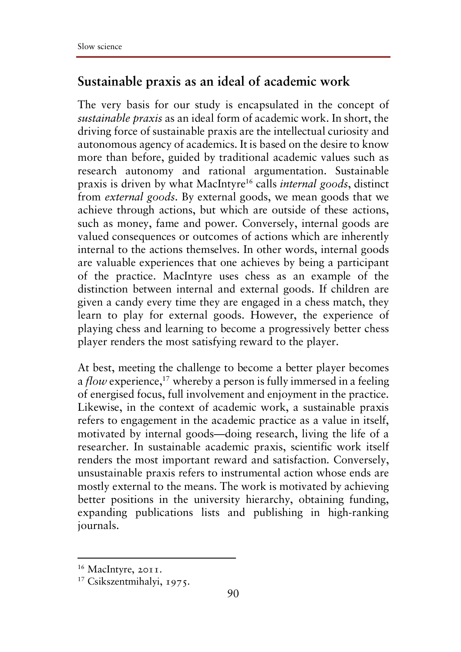#### **Sustainable praxis as an ideal of academic work**

The very basis for our study is encapsulated in the concept of *sustainable praxis* as an ideal form of academic work. In short, the driving force of sustainable praxis are the intellectual curiosity and autonomous agency of academics. It is based on the desire to know more than before, guided by traditional academic values such as research autonomy and rational argumentation. Sustainable praxis is driven by what MacIntyre16 calls *internal goods*, distinct from *external goods*. By external goods, we mean goods that we achieve through actions, but which are outside of these actions, such as money, fame and power. Conversely, internal goods are valued consequences or outcomes of actions which are inherently internal to the actions themselves. In other words, internal goods are valuable experiences that one achieves by being a participant of the practice. MacIntyre uses chess as an example of the distinction between internal and external goods. If children are given a candy every time they are engaged in a chess match, they learn to play for external goods. However, the experience of playing chess and learning to become a progressively better chess player renders the most satisfying reward to the player.

At best, meeting the challenge to become a better player becomes a *flow* experience,<sup>17</sup> whereby a person is fully immersed in a feeling of energised focus, full involvement and enjoyment in the practice. Likewise, in the context of academic work, a sustainable praxis refers to engagement in the academic practice as a value in itself, motivated by internal goods—doing research, living the life of a researcher. In sustainable academic praxis, scientific work itself renders the most important reward and satisfaction. Conversely, unsustainable praxis refers to instrumental action whose ends are mostly external to the means. The work is motivated by achieving better positions in the university hierarchy, obtaining funding, expanding publications lists and publishing in high-ranking journals.

<sup>16</sup> MacIntyre, 2011.

<sup>17</sup> Csikszentmihalyi, 1975.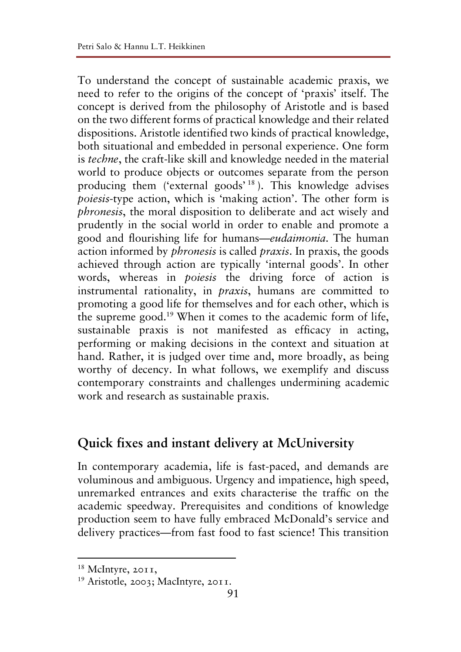To understand the concept of sustainable academic praxis, we need to refer to the origins of the concept of 'praxis' itself. The concept is derived from the philosophy of Aristotle and is based on the two different forms of practical knowledge and their related dispositions. Aristotle identified two kinds of practical knowledge, both situational and embedded in personal experience. One form is *techne*, the craft-like skill and knowledge needed in the material world to produce objects or outcomes separate from the person producing them ('external goods'<sup>18</sup>). This knowledge advises *poiesis*-type action, which is 'making action'. The other form is *phronesis*, the moral disposition to deliberate and act wisely and prudently in the social world in order to enable and promote a good and flourishing life for humans—*eudaimonia*. The human action informed by *phronesis* is called *praxis*. In praxis, the goods achieved through action are typically 'internal goods'. In other words, whereas in *poiesis* the driving force of action is instrumental rationality, in *praxis*, humans are committed to promoting a good life for themselves and for each other, which is the supreme good.19 When it comes to the academic form of life, sustainable praxis is not manifested as efficacy in acting, performing or making decisions in the context and situation at hand. Rather, it is judged over time and, more broadly, as being worthy of decency. In what follows, we exemplify and discuss contemporary constraints and challenges undermining academic work and research as sustainable praxis.

## **Quick fixes and instant delivery at McUniversity**

In contemporary academia, life is fast-paced, and demands are voluminous and ambiguous. Urgency and impatience, high speed, unremarked entrances and exits characterise the traffic on the academic speedway. Prerequisites and conditions of knowledge production seem to have fully embraced McDonald's service and delivery practices—from fast food to fast science! This transition

 <sup>18</sup> McIntyre, 2011,

<sup>19</sup> Aristotle, 2003; MacIntyre, 2011.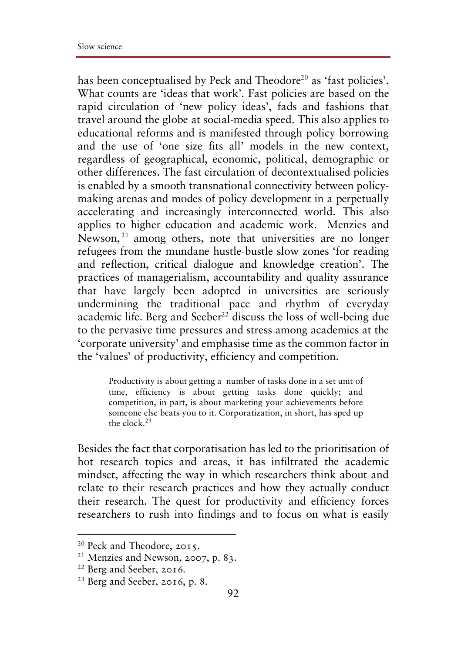has been conceptualised by Peck and Theodore<sup>20</sup> as 'fast policies'. What counts are 'ideas that work'. Fast policies are based on the rapid circulation of 'new policy ideas', fads and fashions that travel around the globe at social-media speed. This also applies to educational reforms and is manifested through policy borrowing and the use of 'one size fits all' models in the new context, regardless of geographical, economic, political, demographic or other differences. The fast circulation of decontextualised policies is enabled by a smooth transnational connectivity between policymaking arenas and modes of policy development in a perpetually accelerating and increasingly interconnected world. This also applies to higher education and academic work. Menzies and Newson, <sup>21</sup> among others, note that universities are no longer refugees from the mundane hustle-bustle slow zones 'for reading and reflection, critical dialogue and knowledge creation'. The practices of managerialism, accountability and quality assurance that have largely been adopted in universities are seriously undermining the traditional pace and rhythm of everyday academic life. Berg and Seeber<sup>22</sup> discuss the loss of well-being due to the pervasive time pressures and stress among academics at the 'corporate university' and emphasise time as the common factor in the 'values' of productivity, efficiency and competition.

Productivity is about getting a number of tasks done in a set unit of time, efficiency is about getting tasks done quickly; and competition, in part, is about marketing your achievements before someone else beats you to it. Corporatization, in short, has sped up the clock  $^{23}$ 

Besides the fact that corporatisation has led to the prioritisation of hot research topics and areas, it has infiltrated the academic mindset, affecting the way in which researchers think about and relate to their research practices and how they actually conduct their research. The quest for productivity and efficiency forces researchers to rush into findings and to focus on what is easily

 $20$  Peck and Theodore, 2015.

<sup>21</sup> Menzies and Newson, 2007, p. 83.

<sup>22</sup> Berg and Seeber, 2016.

 $23$  Berg and Seeber, 2016, p. 8.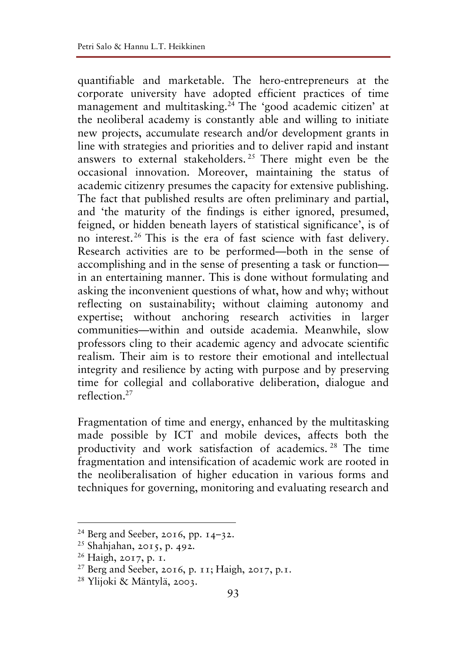quantifiable and marketable. The hero-entrepreneurs at the corporate university have adopted efficient practices of time management and multitasking.24 The 'good academic citizen' at the neoliberal academy is constantly able and willing to initiate new projects, accumulate research and/or development grants in line with strategies and priorities and to deliver rapid and instant answers to external stakeholders. <sup>25</sup> There might even be the occasional innovation. Moreover, maintaining the status of academic citizenry presumes the capacity for extensive publishing. The fact that published results are often preliminary and partial, and 'the maturity of the findings is either ignored, presumed, feigned, or hidden beneath layers of statistical significance', is of no interest.26 This is the era of fast science with fast delivery. Research activities are to be performed—both in the sense of accomplishing and in the sense of presenting a task or function in an entertaining manner. This is done without formulating and asking the inconvenient questions of what, how and why; without reflecting on sustainability; without claiming autonomy and expertise; without anchoring research activities in larger communities—within and outside academia. Meanwhile, slow professors cling to their academic agency and advocate scientific realism. Their aim is to restore their emotional and intellectual integrity and resilience by acting with purpose and by preserving time for collegial and collaborative deliberation, dialogue and reflection.27

Fragmentation of time and energy, enhanced by the multitasking made possible by ICT and mobile devices, affects both the productivity and work satisfaction of academics. <sup>28</sup> The time fragmentation and intensification of academic work are rooted in the neoliberalisation of higher education in various forms and techniques for governing, monitoring and evaluating research and

 $^{24}$  Berg and Seeber, 2016, pp. 14–32.

<sup>25</sup> Shahjahan, 2015, p. 492.

<sup>26</sup> Haigh, 2017, p. 1.

<sup>27</sup> Berg and Seeber, 2016, p. 11; Haigh, 2017, p.1.

<sup>28</sup> Ylijoki & Mäntylä, 2003.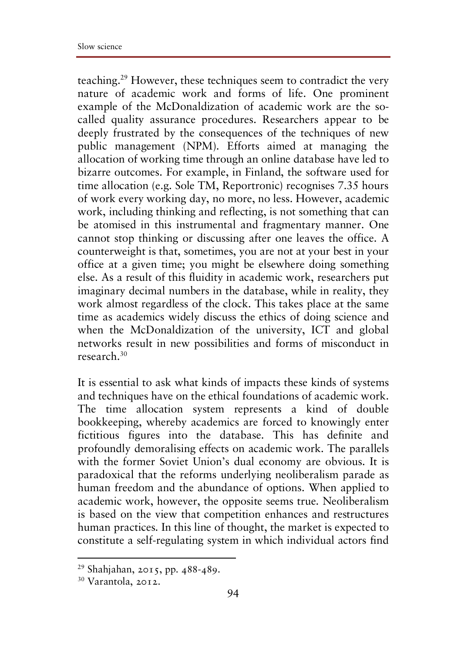teaching.29 However, these techniques seem to contradict the very nature of academic work and forms of life. One prominent example of the McDonaldization of academic work are the socalled quality assurance procedures. Researchers appear to be deeply frustrated by the consequences of the techniques of new public management (NPM). Efforts aimed at managing the allocation of working time through an online database have led to bizarre outcomes. For example, in Finland, the software used for time allocation (e.g. Sole TM, Reportronic) recognises 7.35 hours of work every working day, no more, no less. However, academic work, including thinking and reflecting, is not something that can be atomised in this instrumental and fragmentary manner. One cannot stop thinking or discussing after one leaves the office. A counterweight is that, sometimes, you are not at your best in your office at a given time; you might be elsewhere doing something else. As a result of this fluidity in academic work, researchers put imaginary decimal numbers in the database, while in reality, they work almost regardless of the clock. This takes place at the same time as academics widely discuss the ethics of doing science and when the McDonaldization of the university, ICT and global networks result in new possibilities and forms of misconduct in research.30

It is essential to ask what kinds of impacts these kinds of systems and techniques have on the ethical foundations of academic work. The time allocation system represents a kind of double bookkeeping, whereby academics are forced to knowingly enter fictitious figures into the database. This has definite and profoundly demoralising effects on academic work. The parallels with the former Soviet Union's dual economy are obvious. It is paradoxical that the reforms underlying neoliberalism parade as human freedom and the abundance of options. When applied to academic work, however, the opposite seems true. Neoliberalism is based on the view that competition enhances and restructures human practices. In this line of thought, the market is expected to constitute a self-regulating system in which individual actors find

 <sup>29</sup> Shahjahan, 2015, pp. 488-489.

<sup>30</sup> Varantola, 2012.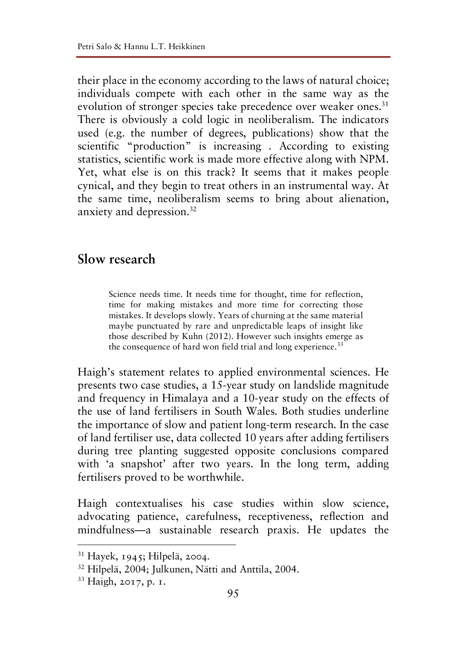their place in the economy according to the laws of natural choice; individuals compete with each other in the same way as the evolution of stronger species take precedence over weaker ones.<sup>31</sup> There is obviously a cold logic in neoliberalism. The indicators used (e.g. the number of degrees, publications) show that the scientific "production" is increasing. According to existing statistics, scientific work is made more effective along with NPM. Yet, what else is on this track? It seems that it makes people cynical, and they begin to treat others in an instrumental way. At the same time, neoliberalism seems to bring about alienation, anxiety and depression.32

#### **Slow research**

Science needs time. It needs time for thought, time for reflection, time for making mistakes and more time for correcting those mistakes. It develops slowly. Years of churning at the same material maybe punctuated by rare and unpredictable leaps of insight like those described by Kuhn (2012). However such insights emerge as the consequence of hard won field trial and long experience.<sup>33</sup>

Haigh's statement relates to applied environmental sciences. He presents two case studies, a 15-year study on landslide magnitude and frequency in Himalaya and a 10-year study on the effects of the use of land fertilisers in South Wales. Both studies underline the importance of slow and patient long-term research. In the case of land fertiliser use, data collected 10 years after adding fertilisers during tree planting suggested opposite conclusions compared with 'a snapshot' after two years. In the long term, adding fertilisers proved to be worthwhile.

Haigh contextualises his case studies within slow science, advocating patience, carefulness, receptiveness, reflection and mindfulness—a sustainable research praxis. He updates the

 <sup>31</sup> Hayek, 1945; Hilpelä, 2004.

<sup>&</sup>lt;sup>32</sup> Hilpelä, 2004; Julkunen, Nätti and Anttila, 2004.<br><sup>33</sup> Haigh, 2017, p. 1.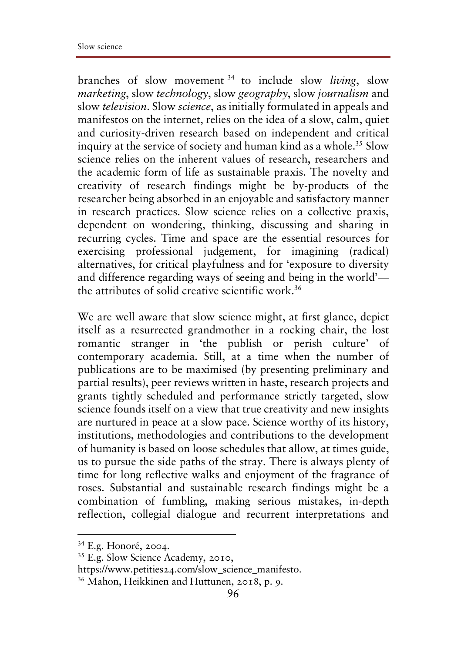branches of slow movement <sup>34</sup> to include slow *living*, slow *marketing*, slow *technology*, slow *geography*, slow *journalism* and slow *television*. Slow *science*, as initially formulated in appeals and manifestos on the internet, relies on the idea of a slow, calm, quiet and curiosity-driven research based on independent and critical inquiry at the service of society and human kind as a whole.<sup>35</sup> Slow science relies on the inherent values of research, researchers and the academic form of life as sustainable praxis. The novelty and creativity of research findings might be by-products of the researcher being absorbed in an enjoyable and satisfactory manner in research practices. Slow science relies on a collective praxis, dependent on wondering, thinking, discussing and sharing in recurring cycles. Time and space are the essential resources for exercising professional judgement, for imagining (radical) alternatives, for critical playfulness and for 'exposure to diversity and difference regarding ways of seeing and being in the world' the attributes of solid creative scientific work.36

We are well aware that slow science might, at first glance, depict itself as a resurrected grandmother in a rocking chair, the lost romantic stranger in 'the publish or perish culture' of contemporary academia. Still, at a time when the number of publications are to be maximised (by presenting preliminary and partial results), peer reviews written in haste, research projects and grants tightly scheduled and performance strictly targeted, slow science founds itself on a view that true creativity and new insights are nurtured in peace at a slow pace. Science worthy of its history, institutions, methodologies and contributions to the development of humanity is based on loose schedules that allow, at times guide, us to pursue the side paths of the stray. There is always plenty of time for long reflective walks and enjoyment of the fragrance of roses. Substantial and sustainable research findings might be a combination of fumbling, making serious mistakes, in-depth reflection, collegial dialogue and recurrent interpretations and

 <sup>34</sup> E.g. Honoré, 2004.

<sup>35</sup> E.g. Slow Science Academy, 2010,

https://www.petities24.com/slow\_science\_manifesto.

<sup>36</sup> Mahon, Heikkinen and Huttunen, 2018, p. 9.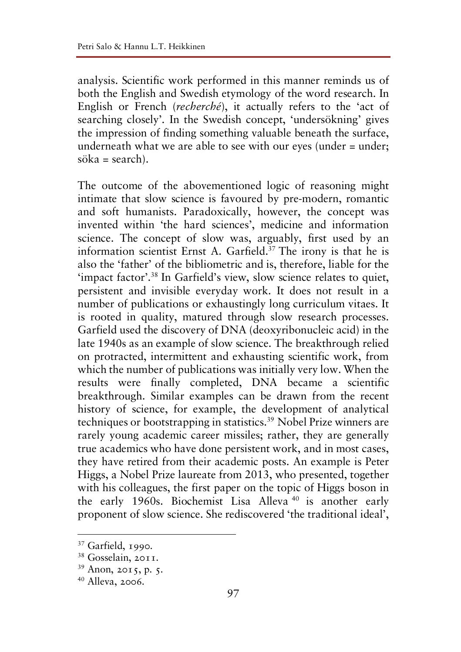analysis. Scientific work performed in this manner reminds us of both the English and Swedish etymology of the word research. In English or French (*recherché*), it actually refers to the 'act of searching closely'. In the Swedish concept, 'undersökning' gives the impression of finding something valuable beneath the surface, underneath what we are able to see with our eyes (under = under;  $sõka = search$ ).

The outcome of the abovementioned logic of reasoning might intimate that slow science is favoured by pre-modern, romantic and soft humanists. Paradoxically, however, the concept was invented within 'the hard sciences', medicine and information science. The concept of slow was, arguably, first used by an information scientist Ernst A. Garfield.<sup>37</sup> The irony is that he is also the 'father' of the bibliometric and is, therefore, liable for the 'impact factor'.38 In Garfield's view, slow science relates to quiet, persistent and invisible everyday work. It does not result in a number of publications or exhaustingly long curriculum vitaes. It is rooted in quality, matured through slow research processes. Garfield used the discovery of DNA (deoxyribonucleic acid) in the late 1940s as an example of slow science. The breakthrough relied on protracted, intermittent and exhausting scientific work, from which the number of publications was initially very low. When the results were finally completed, DNA became a scientific breakthrough. Similar examples can be drawn from the recent history of science, for example, the development of analytical techniques or bootstrapping in statistics.39 Nobel Prize winners are rarely young academic career missiles; rather, they are generally true academics who have done persistent work, and in most cases, they have retired from their academic posts. An example is Peter Higgs, a Nobel Prize laureate from 2013, who presented, together with his colleagues, the first paper on the topic of Higgs boson in the early 1960s. Biochemist Lisa Alleva <sup>40</sup> is another early proponent of slow science. She rediscovered 'the traditional ideal',

 <sup>37</sup> Garfield, 1990.

<sup>38</sup> Gosselain, 2011.

<sup>39</sup> Anon, 2015, p. 5.

<sup>40</sup> Alleva, 2006.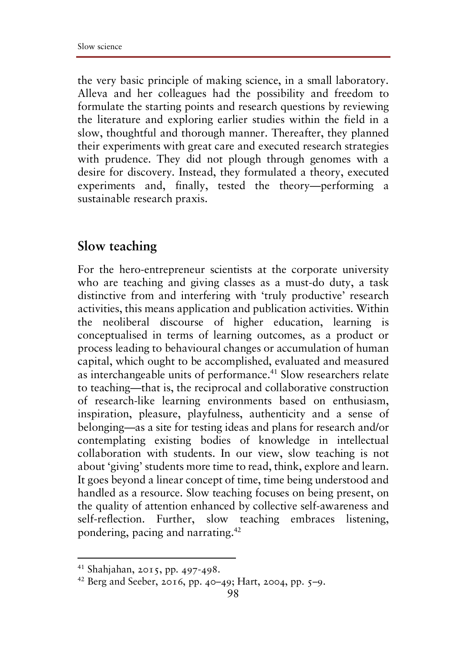the very basic principle of making science, in a small laboratory. Alleva and her colleagues had the possibility and freedom to formulate the starting points and research questions by reviewing the literature and exploring earlier studies within the field in a slow, thoughtful and thorough manner. Thereafter, they planned their experiments with great care and executed research strategies with prudence. They did not plough through genomes with a desire for discovery. Instead, they formulated a theory, executed experiments and, finally, tested the theory—performing a sustainable research praxis.

#### **Slow teaching**

For the hero-entrepreneur scientists at the corporate university who are teaching and giving classes as a must-do duty, a task distinctive from and interfering with 'truly productive' research activities, this means application and publication activities. Within the neoliberal discourse of higher education, learning is conceptualised in terms of learning outcomes, as a product or process leading to behavioural changes or accumulation of human capital, which ought to be accomplished, evaluated and measured as interchangeable units of performance.<sup>41</sup> Slow researchers relate to teaching—that is, the reciprocal and collaborative construction of research-like learning environments based on enthusiasm, inspiration, pleasure, playfulness, authenticity and a sense of belonging—as a site for testing ideas and plans for research and/or contemplating existing bodies of knowledge in intellectual collaboration with students. In our view, slow teaching is not about 'giving' students more time to read, think, explore and learn. It goes beyond a linear concept of time, time being understood and handled as a resource. Slow teaching focuses on being present, on the quality of attention enhanced by collective self-awareness and self-reflection. Further, slow teaching embraces listening, pondering, pacing and narrating.42

 <sup>41</sup> Shahjahan, 2015, pp. 497-498.

<sup>42</sup> Berg and Seeber, 2016, pp. 40–49; Hart, 2004, pp. 5–9.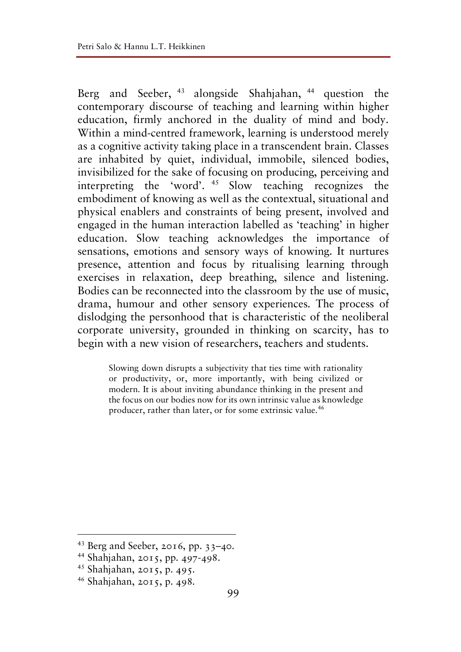Berg and Seeber, <sup>43</sup> alongside Shahjahan, <sup>44</sup> question the contemporary discourse of teaching and learning within higher education, firmly anchored in the duality of mind and body. Within a mind-centred framework, learning is understood merely as a cognitive activity taking place in a transcendent brain. Classes are inhabited by quiet, individual, immobile, silenced bodies, invisibilized for the sake of focusing on producing, perceiving and interpreting the 'word'. <sup>45</sup> Slow teaching recognizes the embodiment of knowing as well as the contextual, situational and physical enablers and constraints of being present, involved and engaged in the human interaction labelled as 'teaching' in higher education. Slow teaching acknowledges the importance of sensations, emotions and sensory ways of knowing. It nurtures presence, attention and focus by ritualising learning through exercises in relaxation, deep breathing, silence and listening. Bodies can be reconnected into the classroom by the use of music, drama, humour and other sensory experiences. The process of dislodging the personhood that is characteristic of the neoliberal corporate university, grounded in thinking on scarcity, has to begin with a new vision of researchers, teachers and students.

Slowing down disrupts a subjectivity that ties time with rationality or productivity, or, more importantly, with being civilized or modern. It is about inviting abundance thinking in the present and the focus on our bodies now for its own intrinsic value as knowledge producer, rather than later, or for some extrinsic value.<sup>46</sup>

 <sup>43</sup> Berg and Seeber, 2016, pp. 33–40.

<sup>44</sup> Shahjahan, 2015, pp. 497-498.

<sup>45</sup> Shahjahan, 2015, p. 495.

<sup>46</sup> Shahjahan, 2015, p. 498.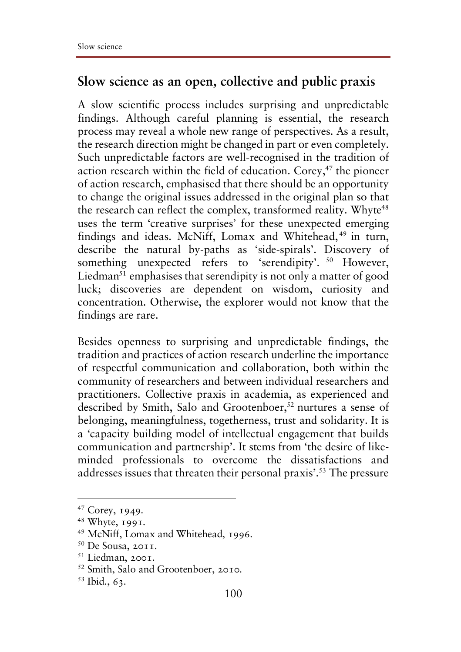#### **Slow science as an open, collective and public praxis**

A slow scientific process includes surprising and unpredictable findings. Although careful planning is essential, the research process may reveal a whole new range of perspectives. As a result, the research direction might be changed in part or even completely. Such unpredictable factors are well-recognised in the tradition of action research within the field of education. Corey,<sup>47</sup> the pioneer of action research, emphasised that there should be an opportunity to change the original issues addressed in the original plan so that the research can reflect the complex, transformed reality. Whyte<sup>48</sup> uses the term 'creative surprises' for these unexpected emerging findings and ideas. McNiff, Lomax and Whitehead,<sup>49</sup> in turn, describe the natural by-paths as 'side-spirals'. Discovery of something unexpected refers to 'serendipity'. <sup>50</sup> However, Liedman<sup>51</sup> emphasises that serendipity is not only a matter of good luck; discoveries are dependent on wisdom, curiosity and concentration. Otherwise, the explorer would not know that the findings are rare.

Besides openness to surprising and unpredictable findings, the tradition and practices of action research underline the importance of respectful communication and collaboration, both within the community of researchers and between individual researchers and practitioners. Collective praxis in academia, as experienced and described by Smith, Salo and Grootenboer,<sup>52</sup> nurtures a sense of belonging, meaningfulness, togetherness, trust and solidarity. It is a 'capacity building model of intellectual engagement that builds communication and partnership'. It stems from 'the desire of likeminded professionals to overcome the dissatisfactions and addresses issues that threaten their personal praxis'.<sup>53</sup> The pressure

 <sup>47</sup> Corey, 1949.

<sup>48</sup> Whyte, 1991.

<sup>49</sup> McNiff, Lomax and Whitehead, 1996.

 $50$  De Sousa, 2011.

<sup>51</sup> Liedman, 2001.

<sup>52</sup> Smith, Salo and Grootenboer, 2010.

<sup>53</sup> Ibid., 63.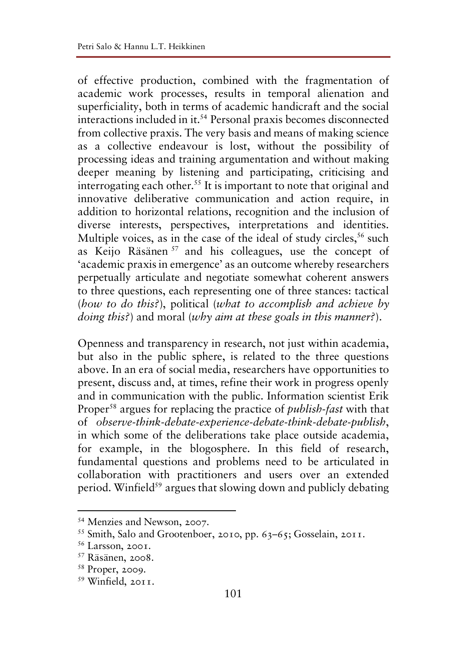of effective production, combined with the fragmentation of academic work processes, results in temporal alienation and superficiality, both in terms of academic handicraft and the social interactions included in it.54 Personal praxis becomes disconnected from collective praxis. The very basis and means of making science as a collective endeavour is lost, without the possibility of processing ideas and training argumentation and without making deeper meaning by listening and participating, criticising and interrogating each other.55 It is important to note that original and innovative deliberative communication and action require, in addition to horizontal relations, recognition and the inclusion of diverse interests, perspectives, interpretations and identities. Multiple voices, as in the case of the ideal of study circles,<sup>56</sup> such as Keijo Räsänen <sup>57</sup> and his colleagues, use the concept of 'academic praxis in emergence' as an outcome whereby researchers perpetually articulate and negotiate somewhat coherent answers to three questions, each representing one of three stances: tactical (*how to do this?*), political (*what to accomplish and achieve by doing this?*) and moral (*why aim at these goals in this manner?*).

Openness and transparency in research, not just within academia, but also in the public sphere, is related to the three questions above. In an era of social media, researchers have opportunities to present, discuss and, at times, refine their work in progress openly and in communication with the public. Information scientist Erik Proper58 argues for replacing the practice of *publish-fast* with that of *observe-think-debate-experience-debate-think-debate-publish*, in which some of the deliberations take place outside academia, for example, in the blogosphere. In this field of research, fundamental questions and problems need to be articulated in collaboration with practitioners and users over an extended period. Winfield<sup>59</sup> argues that slowing down and publicly debating

 <sup>54</sup> Menzies and Newson, 2007.

<sup>55</sup> Smith, Salo and Grootenboer, 2010, pp. 63–65; Gosselain, 2011.

<sup>56</sup> Larsson, 2001.

<sup>57</sup> Räsänen, 2008.

<sup>58</sup> Proper, 2009.

<sup>59</sup> Winfield, 2011.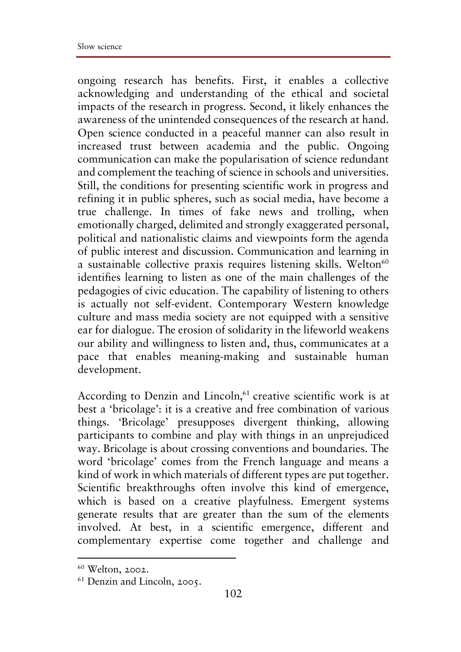ongoing research has benefits. First, it enables a collective acknowledging and understanding of the ethical and societal impacts of the research in progress. Second, it likely enhances the awareness of the unintended consequences of the research at hand. Open science conducted in a peaceful manner can also result in increased trust between academia and the public. Ongoing communication can make the popularisation of science redundant and complement the teaching of science in schools and universities. Still, the conditions for presenting scientific work in progress and refining it in public spheres, such as social media, have become a true challenge. In times of fake news and trolling, when emotionally charged, delimited and strongly exaggerated personal, political and nationalistic claims and viewpoints form the agenda of public interest and discussion. Communication and learning in a sustainable collective praxis requires listening skills. Welton $60$ identifies learning to listen as one of the main challenges of the pedagogies of civic education. The capability of listening to others is actually not self-evident. Contemporary Western knowledge culture and mass media society are not equipped with a sensitive ear for dialogue. The erosion of solidarity in the lifeworld weakens our ability and willingness to listen and, thus, communicates at a pace that enables meaning-making and sustainable human development.

According to Denzin and Lincoln,<sup>61</sup> creative scientific work is at best a 'bricolage': it is a creative and free combination of various things. 'Bricolage' presupposes divergent thinking, allowing participants to combine and play with things in an unprejudiced way. Bricolage is about crossing conventions and boundaries. The word 'bricolage' comes from the French language and means a kind of work in which materials of different types are put together. Scientific breakthroughs often involve this kind of emergence, which is based on a creative playfulness. Emergent systems generate results that are greater than the sum of the elements involved. At best, in a scientific emergence, different and complementary expertise come together and challenge and

 $60$  Welton, 2002.<br> $61$  Denzin and Lincoln, 2005.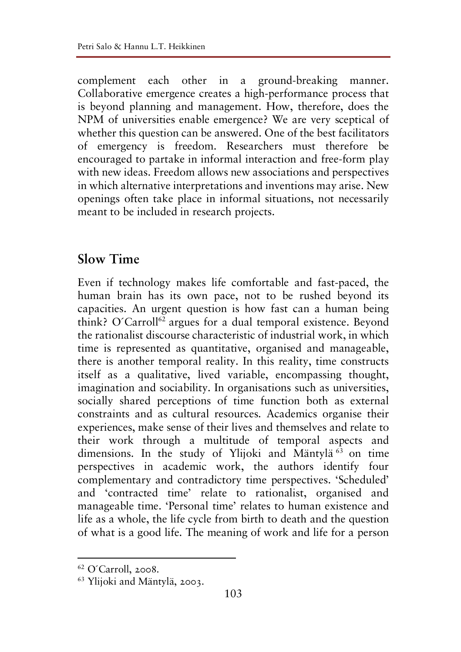complement each other in a ground-breaking manner. Collaborative emergence creates a high-performance process that is beyond planning and management. How, therefore, does the NPM of universities enable emergence? We are very sceptical of whether this question can be answered. One of the best facilitators of emergency is freedom. Researchers must therefore be encouraged to partake in informal interaction and free-form play with new ideas. Freedom allows new associations and perspectives in which alternative interpretations and inventions may arise. New openings often take place in informal situations, not necessarily meant to be included in research projects.

#### **Slow Time**

Even if technology makes life comfortable and fast-paced, the human brain has its own pace, not to be rushed beyond its capacities. An urgent question is how fast can a human being think? O'Carroll<sup>62</sup> argues for a dual temporal existence. Beyond the rationalist discourse characteristic of industrial work, in which time is represented as quantitative, organised and manageable, there is another temporal reality. In this reality, time constructs itself as a qualitative, lived variable, encompassing thought, imagination and sociability. In organisations such as universities, socially shared perceptions of time function both as external constraints and as cultural resources. Academics organise their experiences, make sense of their lives and themselves and relate to their work through a multitude of temporal aspects and dimensions. In the study of Ylijoki and Mäntylä <sup>63</sup> on time perspectives in academic work, the authors identify four complementary and contradictory time perspectives. 'Scheduled' and 'contracted time' relate to rationalist, organised and manageable time. 'Personal time' relates to human existence and life as a whole, the life cycle from birth to death and the question of what is a good life. The meaning of work and life for a person

 <sup>62</sup> O´Carroll, 2008.

<sup>63</sup> Ylijoki and Mäntylä, 2003.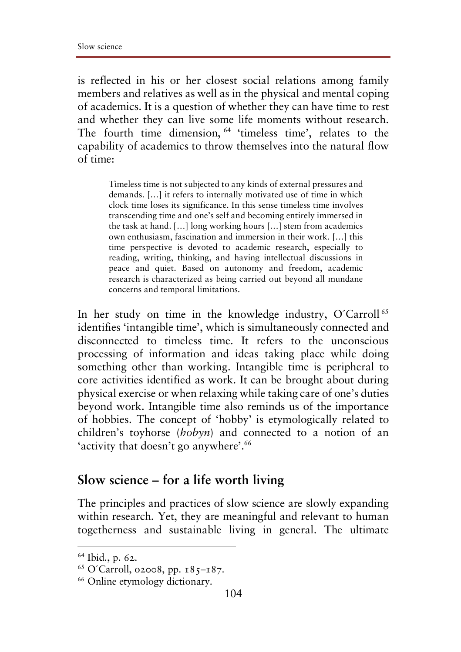is reflected in his or her closest social relations among family members and relatives as well as in the physical and mental coping of academics. It is a question of whether they can have time to rest and whether they can live some life moments without research. The fourth time dimension, <sup>64</sup> 'timeless time', relates to the capability of academics to throw themselves into the natural flow of time:

Timeless time is not subjected to any kinds of external pressures and demands. […] it refers to internally motivated use of time in which clock time loses its significance. In this sense timeless time involves transcending time and one's self and becoming entirely immersed in the task at hand. […] long working hours […] stem from academics own enthusiasm, fascination and immersion in their work. […] this time perspective is devoted to academic research, especially to reading, writing, thinking, and having intellectual discussions in peace and quiet. Based on autonomy and freedom, academic research is characterized as being carried out beyond all mundane concerns and temporal limitations*.* 

In her study on time in the knowledge industry, O'Carroll<sup>65</sup> identifies 'intangible time', which is simultaneously connected and disconnected to timeless time. It refers to the unconscious processing of information and ideas taking place while doing something other than working. Intangible time is peripheral to core activities identified as work. It can be brought about during physical exercise or when relaxing while taking care of one's duties beyond work. Intangible time also reminds us of the importance of hobbies. The concept of 'hobby' is etymologically related to children's toyhorse (*hobyn*) and connected to a notion of an 'activity that doesn't go anywhere'.<sup>66</sup>

#### **Slow science – for a life worth living**

The principles and practices of slow science are slowly expanding within research. Yet, they are meaningful and relevant to human togetherness and sustainable living in general. The ultimate

 <sup>64</sup> Ibid., p. 62.

<sup>65</sup> O´Carroll, o2008, pp. 185–187.

<sup>66</sup> Online etymology dictionary.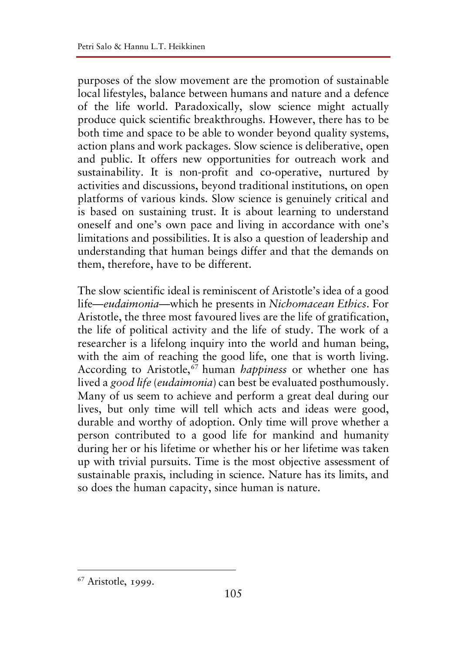purposes of the slow movement are the promotion of sustainable local lifestyles, balance between humans and nature and a defence of the life world. Paradoxically, slow science might actually produce quick scientific breakthroughs. However, there has to be both time and space to be able to wonder beyond quality systems, action plans and work packages. Slow science is deliberative, open and public. It offers new opportunities for outreach work and sustainability. It is non-profit and co-operative, nurtured by activities and discussions, beyond traditional institutions, on open platforms of various kinds. Slow science is genuinely critical and is based on sustaining trust. It is about learning to understand oneself and one's own pace and living in accordance with one's limitations and possibilities. It is also a question of leadership and understanding that human beings differ and that the demands on them, therefore, have to be different.

The slow scientific ideal is reminiscent of Aristotle's idea of a good life—*eudaimonia*—which he presents in *Nichomacean Ethics*. For Aristotle, the three most favoured lives are the life of gratification, the life of political activity and the life of study. The work of a researcher is a lifelong inquiry into the world and human being, with the aim of reaching the good life, one that is worth living. According to Aristotle,<sup>67</sup> human *happiness* or whether one has lived a *good life* (*eudaimonia*) can best be evaluated posthumously. Many of us seem to achieve and perform a great deal during our lives, but only time will tell which acts and ideas were good, durable and worthy of adoption. Only time will prove whether a person contributed to a good life for mankind and humanity during her or his lifetime or whether his or her lifetime was taken up with trivial pursuits. Time is the most objective assessment of sustainable praxis, including in science. Nature has its limits, and so does the human capacity, since human is nature.

 <sup>67</sup> Aristotle, 1999.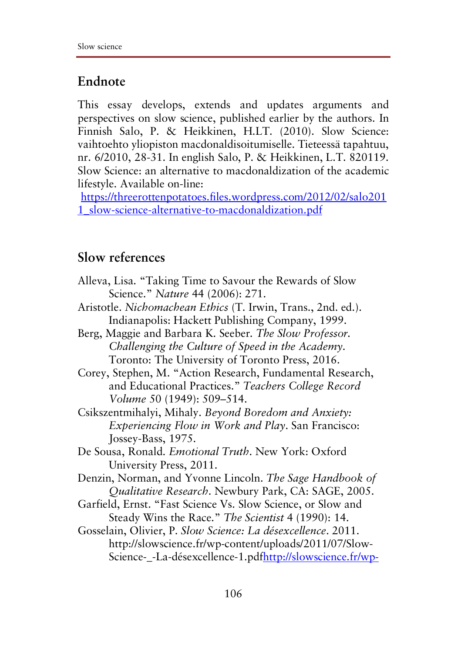## **Endnote**

This essay develops, extends and updates arguments and perspectives on slow science, published earlier by the authors. In Finnish Salo, P. & Heikkinen, H.LT. (2010). Slow Science: vaihtoehto yliopiston macdonaldisoitumiselle. Tieteessä tapahtuu, nr. 6/2010, 28-31. In english Salo, P. & Heikkinen, L.T. 820119. Slow Science: an alternative to macdonaldization of the academic lifestyle. Available on-line:

https://threerottenpotatoes.files.wordpress.com/2012/02/salo201 1\_slow-science-alternative-to-macdonaldization.pdf

## **Slow references**

Alleva, Lisa. "Taking Time to Savour the Rewards of Slow Science." *Nature* 44 (2006): 271. Aristotle. *Nichomachean Ethics* (T. Irwin, Trans., 2nd. ed.). Indianapolis: Hackett Publishing Company, 1999. Berg, Maggie and Barbara K. Seeber. *The Slow Professor. Challenging the Culture of Speed in the Academy*. Toronto: The University of Toronto Press, 2016. Corey, Stephen, M. "Action Research, Fundamental Research, and Educational Practices." *Teachers College Record Volume* 50 (1949): 509–514. Csikszentmihalyi, Mihaly. *Beyond Boredom and Anxiety: Experiencing Flow in Work and Play*. San Francisco: Jossey-Bass, 1975. De Sousa, Ronald. *Emotional Truth*. New York: Oxford University Press, 2011. Denzin, Norman, and Yvonne Lincoln. *The Sage Handbook of Qualitative Research*. Newbury Park, CA: SAGE, 2005. Garfield, Ernst. "Fast Science Vs. Slow Science, or Slow and Steady Wins the Race." *The Scientist* 4 (1990): 14. Gosselain, Olivier, P. *Slow Science: La désexcellence*. 2011. http://slowscience.fr/wp-content/uploads/2011/07/Slow-

Science- -La-désexcellence-1.pdfhttp://slowscience.fr/wp-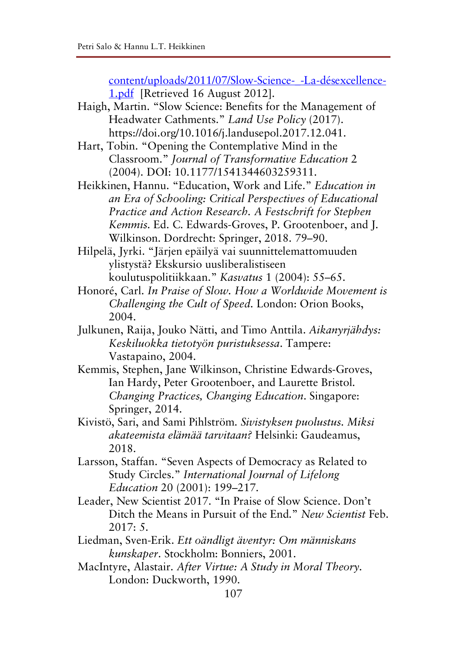content/uploads/2011/07/Slow-Science-\_-La-désexcellence-1.pdf [Retrieved 16 August 2012].

- Haigh, Martin. "Slow Science: Benefits for the Management of Headwater Cathments." *Land Use Policy* (2017). https://doi.org/10.1016/j.landusepol.2017.12.041.
- Hart, Tobin. "Opening the Contemplative Mind in the Classroom." *Journal of Transformative Education* 2 (2004). DOI: 10.1177/1541344603259311.

Heikkinen, Hannu. "Education, Work and Life." *Education in an Era of Schooling: Critical Perspectives of Educational Practice and Action Research. A Festschrift for Stephen Kemmis*. Ed. C. Edwards-Groves, P. Grootenboer, and J. Wilkinson. Dordrecht: Springer, 2018. 79–90.

Hilpelä, Jyrki. "Järjen epäilyä vai suunnittelemattomuuden ylistystä? Ekskursio uusliberalistiseen koulutuspolitiikkaan." *Kasvatus* 1 (2004): 55–65.

- Honoré, Carl. *In Praise of Slow. How a Worldwide Movement is Challenging the Cult of Speed.* London: Orion Books, 2004.
- Julkunen, Raija, Jouko Nätti, and Timo Anttila. *Aikanyrjähdys: Keskiluokka tietotyön puristuksessa*. Tampere: Vastapaino, 2004.
- Kemmis, Stephen, Jane Wilkinson, Christine Edwards-Groves, Ian Hardy, Peter Grootenboer, and Laurette Bristol. *Changing Practices, Changing Education*. Singapore: Springer, 2014.
- Kivistö, Sari, and Sami Pihlström. *Sivistyksen puolustus. Miksi akateemista elämää tarvitaan?* Helsinki: Gaudeamus, 2018.
- Larsson, Staffan. "Seven Aspects of Democracy as Related to Study Circles." *International Journal of Lifelong Education* 20 (2001): 199–217.
- Leader, New Scientist 2017. "In Praise of Slow Science. Don't Ditch the Means in Pursuit of the End." *New Scientist* Feb. 2017: 5.
- Liedman, Sven-Erik. *Ett oändligt äventyr: Om människans kunskaper*. Stockholm: Bonniers, 2001.
- MacIntyre, Alastair. *After Virtue: A Study in Moral Theory.* London: Duckworth, 1990.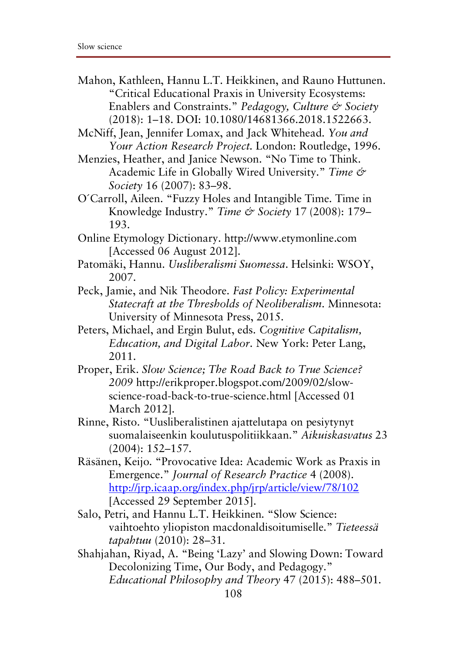Mahon, Kathleen, Hannu L.T. Heikkinen, and Rauno Huttunen. "Critical Educational Praxis in University Ecosystems: Enablers and Constraints." *Pedagogy, Culture & Society* (2018): 1–18. DOI: 10.1080/14681366.2018.1522663.

McNiff, Jean, Jennifer Lomax, and Jack Whitehead. *You and Your Action Research Project.* London: Routledge, 1996.

- Menzies, Heather, and Janice Newson. "No Time to Think. Academic Life in Globally Wired University." *Time & Society* 16 (2007): 83–98.
- O´Carroll, Aileen. "Fuzzy Holes and Intangible Time. Time in Knowledge Industry." *Time & Society* 17 (2008): 179– 193.
- Online Etymology Dictionary. http://www.etymonline.com [Accessed 06 August 2012].
- Patomäki, Hannu. *Uusliberalismi Suomessa*. Helsinki: WSOY, 2007.
- Peck, Jamie, and Nik Theodore. *Fast Policy: Experimental Statecraft at the Thresholds of Neoliberalism*. Minnesota: University of Minnesota Press, 2015.
- Peters, Michael, and Ergin Bulut, eds. *Cognitive Capitalism, Education, and Digital Labor*. New York: Peter Lang, 2011.
- Proper, Erik. *Slow Science; The Road Back to True Science? 2009* http://erikproper.blogspot.com/2009/02/slowscience-road-back-to-true-science.html [Accessed 01 March 2012].
- Rinne, Risto. "Uusliberalistinen ajattelutapa on pesiytynyt suomalaiseenkin koulutuspolitiikkaan." *Aikuiskasvatus* 23 (2004): 152–157.
- Räsänen, Keijo. "Provocative Idea: Academic Work as Praxis in Emergence." *Journal of Research Practice* 4 (2008). http://jrp.icaap.org/index.php/jrp/article/view/78/102 [Accessed 29 September 2015].
- Salo, Petri, and Hannu L.T. Heikkinen. "Slow Science: vaihtoehto yliopiston macdonaldisoitumiselle." *Tieteessä tapahtuu* (2010): 28–31.
- Shahjahan, Riyad, A. "Being 'Lazy' and Slowing Down: Toward Decolonizing Time, Our Body, and Pedagogy." *Educational Philosophy and Theory* 47 (2015): 488–501.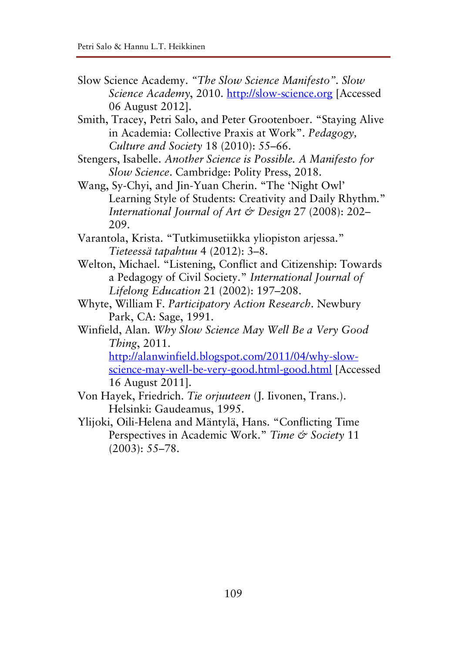- Slow Science Academy. *"The Slow Science Manifesto". Slow Science Academy*, 2010. http://slow-science.org [Accessed 06 August 2012].
- Smith, Tracey, Petri Salo, and Peter Grootenboer. "Staying Alive in Academia: Collective Praxis at Work". *Pedagogy, Culture and Society* 18 (2010): 55–66.
- Stengers, Isabelle. *Another Science is Possible. A Manifesto for Slow Science*. Cambridge: Polity Press, 2018.
- Wang, Sy-Chyi, and Jin-Yuan Cherin. "The 'Night Owl' Learning Style of Students: Creativity and Daily Rhythm." *International Journal of Art & Design* 27 (2008): 202– 209.
- Varantola, Krista. "Tutkimusetiikka yliopiston arjessa." *Tieteessä tapahtuu* 4 (2012): 3–8.
- Welton, Michael. "Listening, Conflict and Citizenship: Towards a Pedagogy of Civil Society." *International Journal of Lifelong Education* 21 (2002): 197–208.
- Whyte, William F. *Participatory Action Research*. Newbury Park, CA: Sage, 1991.
- Winfield, Alan. *Why Slow Science May Well Be a Very Good Thing*, 2011.

http://alanwinfield.blogspot.com/2011/04/why-slowscience-may-well-be-very-good.html-good.html [Accessed 16 August 2011].

- Von Hayek, Friedrich. *Tie orjuuteen* (J. Iivonen, Trans.). Helsinki: Gaudeamus, 1995.
- Ylijoki, Oili-Helena and Mäntylä, Hans. "Conflicting Time Perspectives in Academic Work." *Time & Society* 11 (2003): 55–78.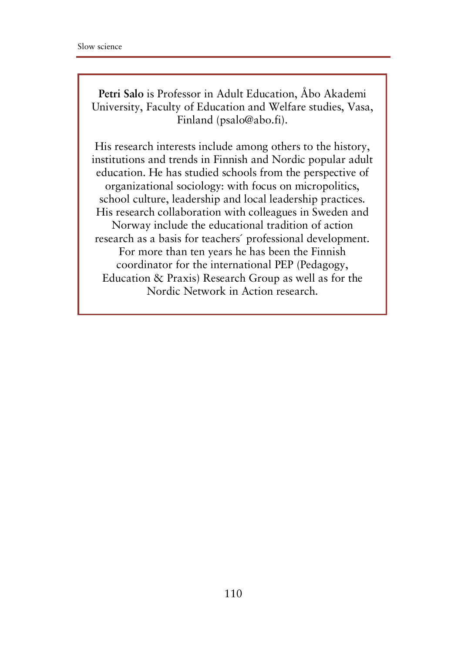**Petri Salo** is Professor in Adult Education, Åbo Akademi University, Faculty of Education and Welfare studies, Vasa, Finland (psalo@abo.fi).

His research interests include among others to the history, institutions and trends in Finnish and Nordic popular adult education. He has studied schools from the perspective of organizational sociology: with focus on micropolitics, school culture, leadership and local leadership practices. His research collaboration with colleagues in Sweden and Norway include the educational tradition of action research as a basis for teachers´ professional development. For more than ten years he has been the Finnish coordinator for the international PEP (Pedagogy, Education & Praxis) Research Group as well as for the Nordic Network in Action research.